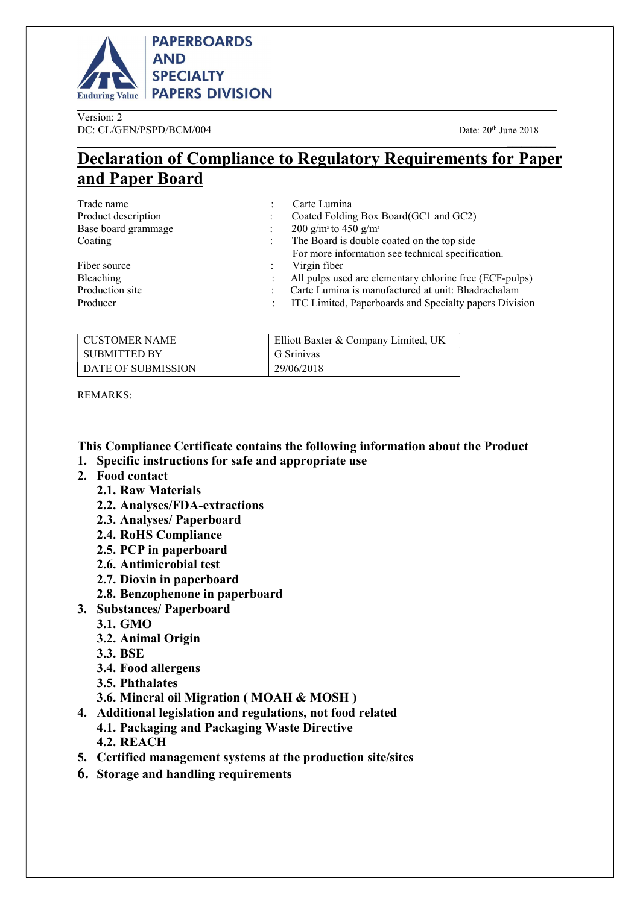

Version: 2 DC: CL/GEN/PSPD/BCM/004 Date: 20<sup>th</sup> June 2018 \_\_\_\_\_\_\_\_\_\_\_\_\_\_\_\_\_\_\_\_\_\_\_\_\_\_\_\_\_\_\_\_\_\_\_\_\_\_\_\_\_\_\_\_\_\_\_\_\_\_\_\_\_\_\_\_\_\_\_\_\_\_\_\_\_\_\_\_\_\_\_\_\_\_\_\_\_\_\_\_\_\_\_\_\_\_\_\_\_\_

# Declaration of Compliance to Regulatory Requirements for Paper and Paper Board

| Trade name          | Carte Lumina                                            |
|---------------------|---------------------------------------------------------|
| Product description | Coated Folding Box Board (GC1 and GC2)                  |
| Base board grammage | 200 g/m <sup>2</sup> to 450 g/m <sup>2</sup>            |
| Coating             | The Board is double coated on the top side              |
|                     | For more information see technical specification.       |
| Fiber source        | Virgin fiber                                            |
| Bleaching           | All pulps used are elementary chlorine free (ECF-pulps) |
| Production site     | Carte Lumina is manufactured at unit: Bhadrachalam      |
| Producer            | ITC Limited, Paperboards and Specialty papers Division  |
|                     |                                                         |

| <b>CUSTOMER NAME</b> | Elliott Baxter & Company Limited, UK |
|----------------------|--------------------------------------|
| SUBMITTED BY         | G Srinivas                           |
| L DATE OF SUBMISSION | 29/06/2018                           |

REMARKS:

This Compliance Certificate contains the following information about the Product

- 1. Specific instructions for safe and appropriate use
- 2. Food contact
	- 2.1. Raw Materials
	- 2.2. Analyses/FDA-extractions
	- 2.3. Analyses/ Paperboard
	- 2.4. RoHS Compliance
	- 2.5. PCP in paperboard
	- 2.6. Antimicrobial test
	- 2.7. Dioxin in paperboard
	- 2.8. Benzophenone in paperboard
- 3. Substances/ Paperboard
	- 3.1. GMO
	- 3.2. Animal Origin
	- 3.3. BSE
	- 3.4. Food allergens
	- 3.5. Phthalates
	- 3.6. Mineral oil Migration ( MOAH & MOSH )
- 4. Additional legislation and regulations, not food related
	- 4.1. Packaging and Packaging Waste Directive 4.2. REACH
- 5. Certified management systems at the production site/sites
- 6. Storage and handling requirements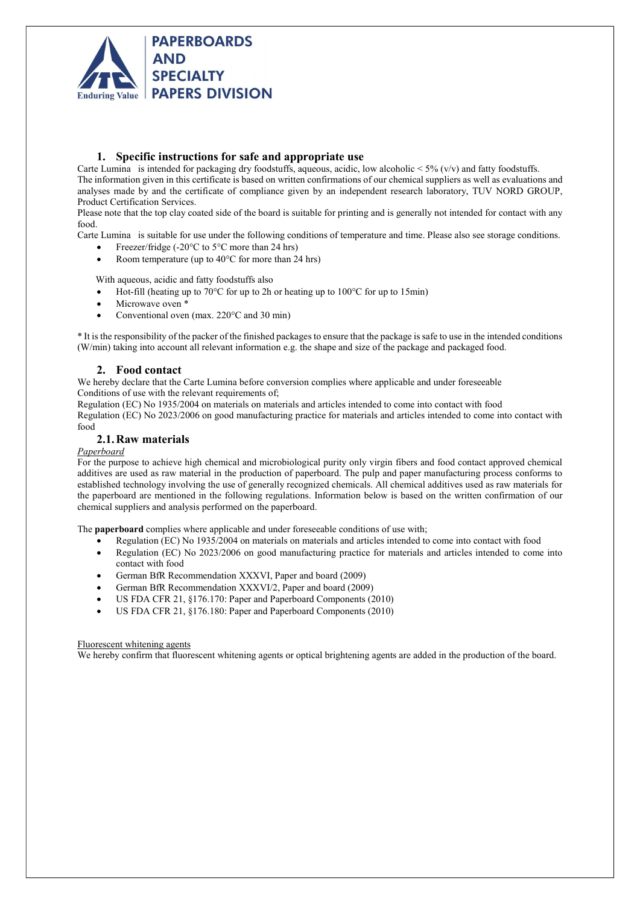

# 1. Specific instructions for safe and appropriate use

Carte Lumina is intended for packaging dry foodstuffs, aqueous, acidic, low alcoholic  $\lt$  5% (v/v) and fatty foodstuffs. The information given in this certificate is based on written confirmations of our chemical suppliers as well as evaluations and analyses made by and the certificate of compliance given by an independent research laboratory, TUV NORD GROUP, Product Certification Services.

Please note that the top clay coated side of the board is suitable for printing and is generally not intended for contact with any food.

Carte Lumina is suitable for use under the following conditions of temperature and time. Please also see storage conditions.

- Freezer/fridge (-20°C to 5°C more than 24 hrs)
- Room temperature (up to 40°C for more than 24 hrs)

With aqueous, acidic and fatty foodstuffs also

- Hot-fill (heating up to 70°C for up to 2h or heating up to 100°C for up to 15min)
- Microwave oven \*
- Conventional oven (max. 220°C and 30 min)

\* It is the responsibility of the packer of the finished packages to ensure that the package is safe to use in the intended conditions (W/min) taking into account all relevant information e.g. the shape and size of the package and packaged food.

# 2. Food contact

We hereby declare that the Carte Lumina before conversion complies where applicable and under foreseeable Conditions of use with the relevant requirements of;

Regulation (EC) No 1935/2004 on materials on materials and articles intended to come into contact with food

Regulation (EC) No 2023/2006 on good manufacturing practice for materials and articles intended to come into contact with food

# 2.1.Raw materials

## Paperboard

For the purpose to achieve high chemical and microbiological purity only virgin fibers and food contact approved chemical additives are used as raw material in the production of paperboard. The pulp and paper manufacturing process conforms to established technology involving the use of generally recognized chemicals. All chemical additives used as raw materials for the paperboard are mentioned in the following regulations. Information below is based on the written confirmation of our chemical suppliers and analysis performed on the paperboard.

The paperboard complies where applicable and under foreseeable conditions of use with;

- Regulation (EC) No 1935/2004 on materials on materials and articles intended to come into contact with food
- Regulation (EC) No 2023/2006 on good manufacturing practice for materials and articles intended to come into contact with food
- German BfR Recommendation XXXVI, Paper and board (2009)
- German BfR Recommendation XXXVI/2, Paper and board (2009)
- US FDA CFR 21, §176.170: Paper and Paperboard Components (2010)
- US FDA CFR 21, §176.180: Paper and Paperboard Components (2010)

## Fluorescent whitening agents

We hereby confirm that fluorescent whitening agents or optical brightening agents are added in the production of the board.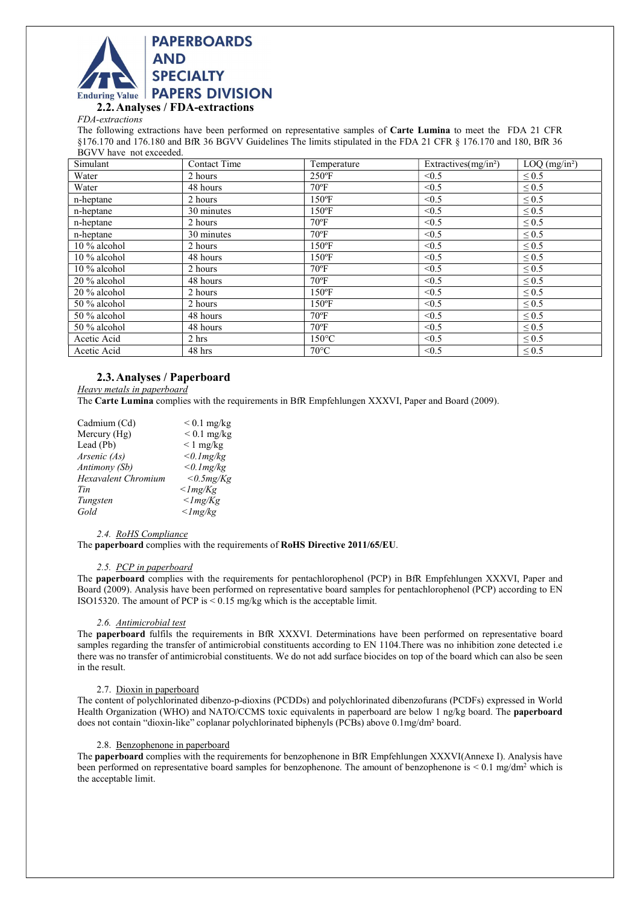

2.2.Analyses / FDA-extractions

FDA-extractions

The following extractions have been performed on representative samples of Carte Lumina to meet the FDA 21 CFR §176.170 and 176.180 and BfR 36 BGVV Guidelines The limits stipulated in the FDA 21 CFR § 176.170 and 180, BfR 36 BGVV have not exceeded.

| Simulant       | Contact Time | Temperature     | Extractives(mg/in <sup>2</sup> ) | $LOQ$ (mg/in <sup>2</sup> ) |
|----------------|--------------|-----------------|----------------------------------|-----------------------------|
| Water          | 2 hours      | $250^{\circ}$ F | < 0.5                            | $\leq 0.5$                  |
| Water          | 48 hours     | $70^{\circ}$ F  | < 0.5                            | $\leq 0.5$                  |
| n-heptane      | 2 hours      | $150^{\circ}$ F | < 0.5                            | $\leq 0.5$                  |
| n-heptane      | 30 minutes   | $150^{\circ}$ F | < 0.5                            | $\leq 0.5$                  |
| n-heptane      | 2 hours      | $70^{\circ}$ F  | < 0.5                            | $\leq 0.5$                  |
| n-heptane      | 30 minutes   | $70^{\circ}$ F  | < 0.5                            | $\leq 0.5$                  |
| 10 % alcohol   | 2 hours      | $150^{\circ}$ F | < 0.5                            | $\leq 0.5$                  |
| $10\%$ alcohol | 48 hours     | $150^{\circ}$ F | < 0.5                            | $\leq 0.5$                  |
| $10\%$ alcohol | 2 hours      | $70^{\circ}$ F  | < 0.5                            | $\leq 0.5$                  |
| 20 % alcohol   | 48 hours     | $70^{\circ}$ F  | < 0.5                            | $\leq 0.5$                  |
| 20 % alcohol   | 2 hours      | $150^{\circ}$ F | < 0.5                            | $\leq 0.5$                  |
| 50 % alcohol   | 2 hours      | $150^{\circ}$ F | < 0.5                            | $\leq 0.5$                  |
| 50 % alcohol   | 48 hours     | $70^{\circ}$ F  | < 0.5                            | $\leq 0.5$                  |
| 50 % alcohol   | 48 hours     | $70^{\circ}$ F  | < 0.5                            | $\leq 0.5$                  |
| Acetic Acid    | 2 hrs        | $150^{\circ}$ C | < 0.5                            | $\leq 0.5$                  |
| Acetic Acid    | 48 hrs       | $70^{\circ}$ C  | < 0.5                            | $\leq 0.5$                  |

# 2.3.Analyses / Paperboard

Heavy metals in paperboard

The Carte Lumina complies with the requirements in BfR Empfehlungen XXXVI, Paper and Board (2009).

| Cadmium (Cd)               | $< 0.1$ mg/kg         |
|----------------------------|-----------------------|
| Mercury (Hg)               | $< 0.1$ mg/kg         |
| Lead (Pb)                  | $\leq 1$ mg/kg        |
| Arsenic (As)               | < 0.1 mg/kg           |
| Antimony (Sb)              | $<$ 0.1 $mg/kg$       |
| <b>Hexavalent Chromium</b> | $<$ 0.5mg/Kg          |
| Tin                        | $\leq$ lmg/Kg         |
| Tungsten                   | $\langle$ lmg/Kg      |
| Gold                       | $<$ <i>lmg</i> / $kg$ |

#### 2.4. RoHS Compliance

The paperboard complies with the requirements of RoHS Directive 2011/65/EU.

## 2.5. PCP in paperboard

The paperboard complies with the requirements for pentachlorophenol (PCP) in BfR Empfehlungen XXXVI, Paper and Board (2009). Analysis have been performed on representative board samples for pentachlorophenol (PCP) according to EN ISO15320. The amount of PCP is  $\leq$  0.15 mg/kg which is the acceptable limit.

#### 2.6. Antimicrobial test

The paperboard fulfils the requirements in BfR XXXVI. Determinations have been performed on representative board samples regarding the transfer of antimicrobial constituents according to EN 1104.There was no inhibition zone detected i.e there was no transfer of antimicrobial constituents. We do not add surface biocides on top of the board which can also be seen in the result.

#### 2.7. Dioxin in paperboard

The content of polychlorinated dibenzo-p-dioxins (PCDDs) and polychlorinated dibenzofurans (PCDFs) expressed in World Health Organization (WHO) and NATO/CCMS toxic equivalents in paperboard are below 1 ng/kg board. The paperboard does not contain "dioxin-like" coplanar polychlorinated biphenyls (PCBs) above 0.1mg/dm² board.

#### 2.8. Benzophenone in paperboard

The paperboard complies with the requirements for benzophenone in BfR Empfehlungen XXXVI(Annexe I). Analysis have been performed on representative board samples for benzophenone. The amount of benzophenone is  $< 0.1$  mg/dm<sup>2</sup> which is the acceptable limit.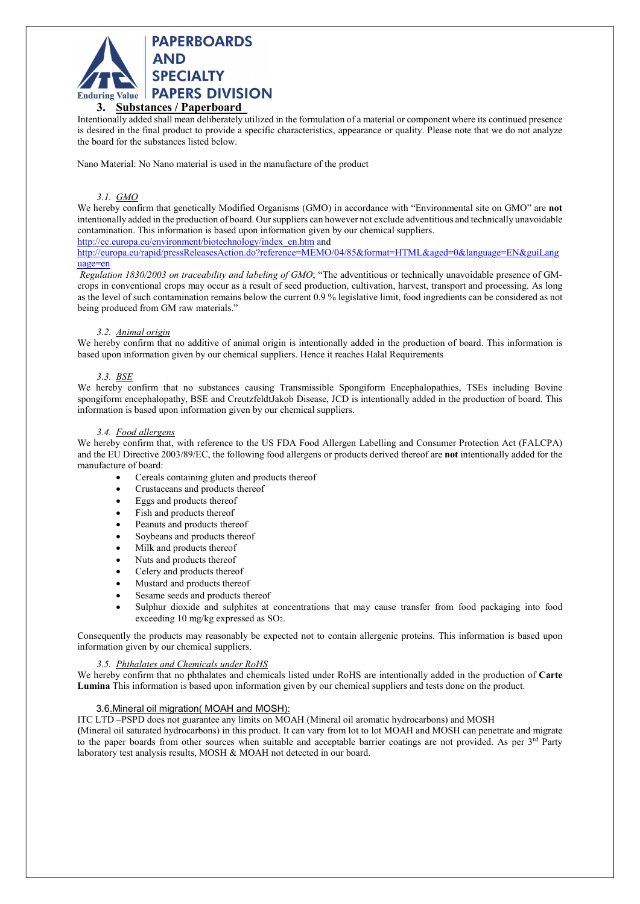

### 3. Substances / Paperboard\_

Intentionally added shall mean deliberately utilized in the formulation of a material or component where its continued presence is desired in the final product to provide a specific characteristics, appearance or quality. Please note that we do not analyze the board for the substances listed below.

Nano Material: No Nano material is used in the manufacture of the product

#### 3.1. GMO

We hereby confirm that genetically Modified Organisms (GMO) in accordance with "Environmental site on GMO" are not intentionally added in the production of board. Our suppliers can however not exclude adventitious and technically unavoidable contamination. This information is based upon information given by our chemical suppliers.

http://ec.europa.eu/environment/biotechnology/index\_en.htm and

http://europa.eu/rapid/pressReleasesAction.do?reference=MEMO/04/85&format=HTML&aged=0&language=EN&guiLang uage=en

Regulation 1830/2003 on traceability and labeling of GMO; "The adventitious or technically unavoidable presence of GMcrops in conventional crops may occur as a result of seed production, cultivation, harvest, transport and processing. As long as the level of such contamination remains below the current 0.9 % legislative limit, food ingredients can be considered as not being produced from GM raw materials."

## 3.2. Animal origin

We hereby confirm that no additive of animal origin is intentionally added in the production of board. This information is based upon information given by our chemical suppliers. Hence it reaches Halal Requirements

#### 3.3. BSE

We hereby confirm that no substances causing Transmissible Spongiform Encephalopathies, TSEs including Bovine spongiform encephalopathy, BSE and CreutzfeldtJakob Disease, JCD is intentionally added in the production of board. This information is based upon information given by our chemical suppliers.

#### 3.4. Food allergens

We hereby confirm that, with reference to the US FDA Food Allergen Labelling and Consumer Protection Act (FALCPA) and the EU Directive 2003/89/EC, the following food allergens or products derived thereof are not intentionally added for the manufacture of board:

- Cereals containing gluten and products thereof
- Crustaceans and products thereof
- Eggs and products thereof
- Fish and products thereof
- Peanuts and products thereof
- Soybeans and products thereof
- Milk and products thereof
- Nuts and products thereof
- Celery and products thereof
- Mustard and products thereof
- Sesame seeds and products thereof
- Sulphur dioxide and sulphites at concentrations that may cause transfer from food packaging into food exceeding 10 mg/kg expressed as SO2.

Consequently the products may reasonably be expected not to contain allergenic proteins. This information is based upon information given by our chemical suppliers.

#### 3.5. Phthalates and Chemicals under RoHS

We hereby confirm that no phthalates and chemicals listed under RoHS are intentionally added in the production of Carte Lumina This information is based upon information given by our chemical suppliers and tests done on the product.

#### 3.6.Mineral oil migration( MOAH and MOSH):

ITC LTD –PSPD does not guarantee any limits on MOAH (Mineral oil aromatic hydrocarbons) and MOSH

(Mineral oil saturated hydrocarbons) in this product. It can vary from lot to lot MOAH and MOSH can penetrate and migrate to the paper boards from other sources when suitable and acceptable barrier coatings are not provided. As per 3<sup>rd</sup> Party laboratory test analysis results, MOSH & MOAH not detected in our board.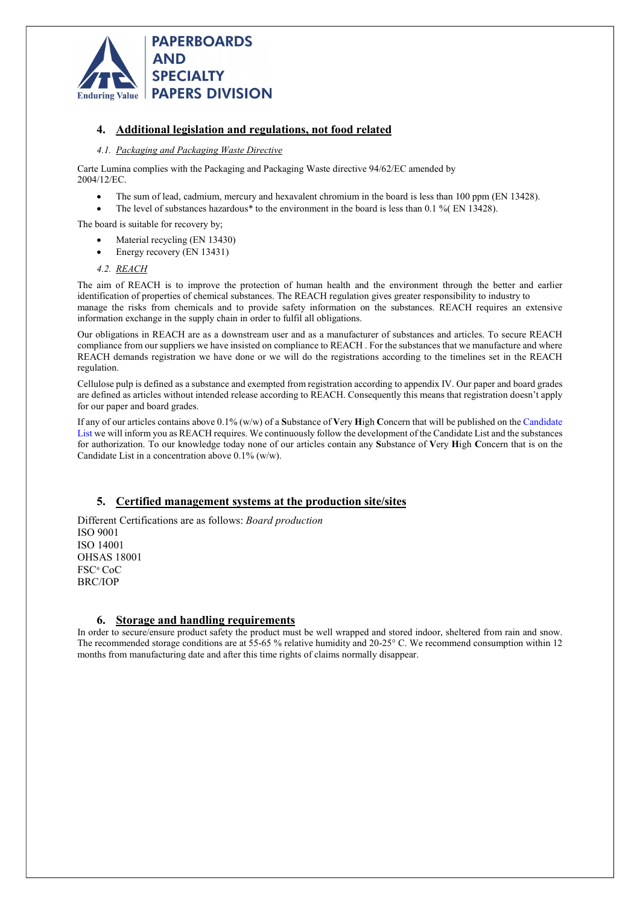

# 4. Additional legislation and regulations, not food related

## 4.1. Packaging and Packaging Waste Directive

Carte Lumina complies with the Packaging and Packaging Waste directive 94/62/EC amended by 2004/12/EC.

- The sum of lead, cadmium, mercury and hexavalent chromium in the board is less than 100 ppm (EN 13428).
- The level of substances hazardous\* to the environment in the board is less than 0.1 %( EN 13428).

The board is suitable for recovery by;

- Material recycling (EN 13430)
- Energy recovery (EN 13431)

## 4.2. REACH

The aim of REACH is to improve the protection of human health and the environment through the better and earlier identification of properties of chemical substances. The REACH regulation gives greater responsibility to industry to manage the risks from chemicals and to provide safety information on the substances. REACH requires an extensive information exchange in the supply chain in order to fulfil all obligations.

Our obligations in REACH are as a downstream user and as a manufacturer of substances and articles. To secure REACH compliance from our suppliers we have insisted on compliance to REACH . For the substances that we manufacture and where REACH demands registration we have done or we will do the registrations according to the timelines set in the REACH regulation.

Cellulose pulp is defined as a substance and exempted from registration according to appendix IV. Our paper and board grades are defined as articles without intended release according to REACH. Consequently this means that registration doesn't apply for our paper and board grades.

If any of our articles contains above  $0.1\%$  (w/w) of a Substance of Very High Concern that will be published on the Candidate List we will inform you as REACH requires. We continuously follow the development of the Candidate List and the substances for authorization. To our knowledge today none of our articles contain any Substance of Very High Concern that is on the Candidate List in a concentration above 0.1% (w/w).

# 5. Certified management systems at the production site/sites

Different Certifications are as follows: Board production ISO 9001 ISO 14001 OHSAS 18001 FSC® CoC BRC/IOP

# 6. Storage and handling requirements

In order to secure/ensure product safety the product must be well wrapped and stored indoor, sheltered from rain and snow. The recommended storage conditions are at 55-65 % relative humidity and 20-25° C. We recommend consumption within 12 months from manufacturing date and after this time rights of claims normally disappear.